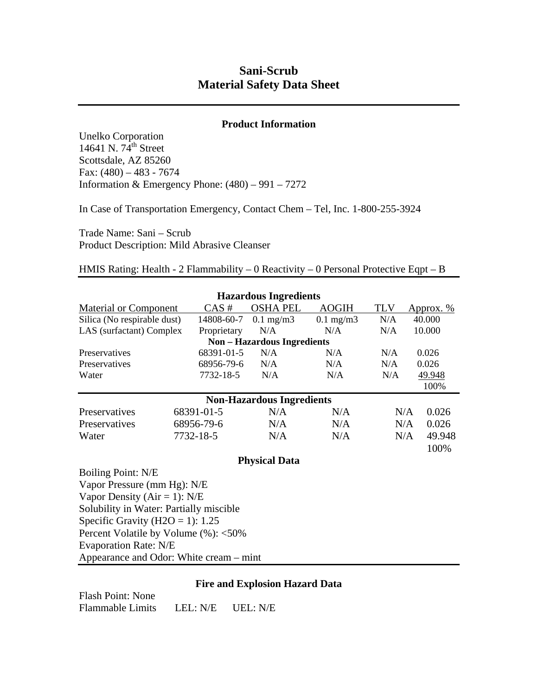# **Sani-Scrub Material Safety Data Sheet**

# **Product Information**

Unelko Corporation 14641 N.  $74^{\text{th}}$  Street Scottsdale, AZ 85260 Fax:  $(480) - 483 - 7674$ Information & Emergency Phone:  $(480) - 991 - 7272$ 

In Case of Transportation Emergency, Contact Chem – Tel, Inc. 1-800-255-3924

Trade Name: Sani – Scrub Product Description: Mild Abrasive Cleanser

# HMIS Rating: Health - 2 Flammability – 0 Reactivity – 0 Personal Protective Eqpt – B

|                                         |             | <b>Hazardous Ingredients</b>     |                |               |           |        |  |
|-----------------------------------------|-------------|----------------------------------|----------------|---------------|-----------|--------|--|
| <b>Material or Component</b>            | CAS#        | <b>OSHA PEL</b>                  | <b>AOGIH</b>   | <b>TLV</b>    | Approx. % |        |  |
| Silica (No respirable dust)             | 14808-60-7  | $0.1$ mg/m $3$                   | $0.1$ mg/m $3$ | N/A<br>40.000 |           |        |  |
| LAS (surfactant) Complex                | Proprietary | N/A                              | N/A            | N/A<br>10.000 |           |        |  |
| <b>Non-Hazardous Ingredients</b>        |             |                                  |                |               |           |        |  |
| Preservatives                           | 68391-01-5  | N/A                              | N/A            | N/A           | 0.026     |        |  |
| Preservatives                           | 68956-79-6  | N/A                              | N/A            | 0.026<br>N/A  |           |        |  |
| Water                                   | 7732-18-5   | N/A                              | N/A<br>N/A     |               | 49.948    |        |  |
|                                         |             |                                  |                |               |           | 100%   |  |
|                                         |             | <b>Non-Hazardous Ingredients</b> |                |               |           |        |  |
| Preservatives<br>68391-01-5             |             | N/A                              | N/A            | N/A           |           | 0.026  |  |
| Preservatives                           | 68956-79-6  |                                  | N/A            | N/A           |           | 0.026  |  |
| 7732-18-5<br>Water                      |             | N/A                              | N/A            | N/A           |           | 49.948 |  |
|                                         |             |                                  |                |               |           | 100%   |  |
| <b>Physical Data</b>                    |             |                                  |                |               |           |        |  |
| Boiling Point: N/E                      |             |                                  |                |               |           |        |  |
| Vapor Pressure (mm Hg): N/E             |             |                                  |                |               |           |        |  |
| Vapor Density ( $Air = 1$ ): N/E        |             |                                  |                |               |           |        |  |
| Solubility in Water: Partially miscible |             |                                  |                |               |           |        |  |
| Specific Gravity (H2O = 1): $1.25$      |             |                                  |                |               |           |        |  |
| Percent Volatile by Volume (%): <50%    |             |                                  |                |               |           |        |  |
| <b>Evaporation Rate: N/E</b>            |             |                                  |                |               |           |        |  |

Appearance and Odor: White cream – mint

## **Fire and Explosion Hazard Data**

Flash Point: None Flammable Limits LEL: N/E UEL: N/E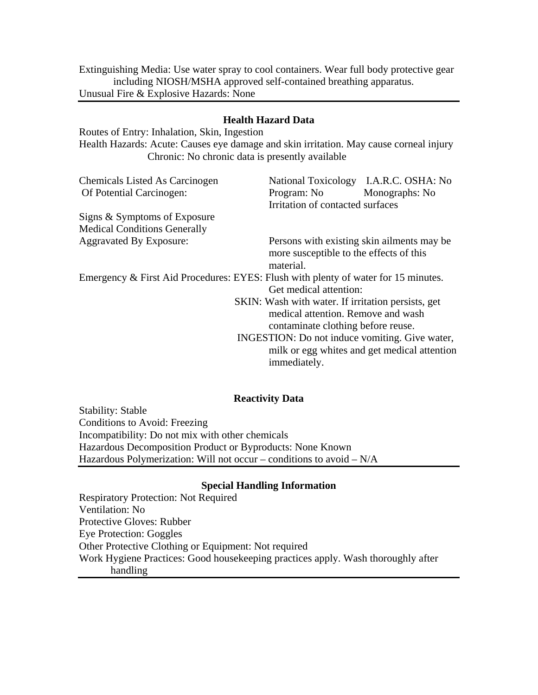Extinguishing Media: Use water spray to cool containers. Wear full body protective gear including NIOSH/MSHA approved self-contained breathing apparatus. Unusual Fire & Explosive Hazards: None

# **Health Hazard Data**

Routes of Entry: Inhalation, Skin, Ingestion Health Hazards: Acute: Causes eye damage and skin irritation. May cause corneal injury Chronic: No chronic data is presently available

| <b>Chemicals Listed As Carcinogen</b>                                              |  | National Toxicology I.A.R.C. OSHA: No                                                                                                                                                                                                            |                |  |  |  |
|------------------------------------------------------------------------------------|--|--------------------------------------------------------------------------------------------------------------------------------------------------------------------------------------------------------------------------------------------------|----------------|--|--|--|
| Of Potential Carcinogen:                                                           |  | Program: No                                                                                                                                                                                                                                      | Monographs: No |  |  |  |
|                                                                                    |  | Irritation of contacted surfaces                                                                                                                                                                                                                 |                |  |  |  |
| Signs & Symptoms of Exposure                                                       |  |                                                                                                                                                                                                                                                  |                |  |  |  |
| <b>Medical Conditions Generally</b>                                                |  |                                                                                                                                                                                                                                                  |                |  |  |  |
| <b>Aggravated By Exposure:</b>                                                     |  | Persons with existing skin ailments may be<br>more susceptible to the effects of this<br>material.                                                                                                                                               |                |  |  |  |
| Emergency & First Aid Procedures: EYES: Flush with plenty of water for 15 minutes. |  | Get medical attention:                                                                                                                                                                                                                           |                |  |  |  |
|                                                                                    |  | SKIN: Wash with water. If irritation persists, get<br>medical attention. Remove and wash<br>contaminate clothing before reuse.<br>INGESTION: Do not induce vomiting. Give water,<br>milk or egg whites and get medical attention<br>immediately. |                |  |  |  |
|                                                                                    |  |                                                                                                                                                                                                                                                  |                |  |  |  |

## **Reactivity Data**

Stability: Stable Conditions to Avoid: Freezing Incompatibility: Do not mix with other chemicals Hazardous Decomposition Product or Byproducts: None Known Hazardous Polymerization: Will not occur – conditions to avoid – N/A

## **Special Handling Information**

Respiratory Protection: Not Required Ventilation: No Protective Gloves: Rubber Eye Protection: Goggles Other Protective Clothing or Equipment: Not required Work Hygiene Practices: Good housekeeping practices apply. Wash thoroughly after handling